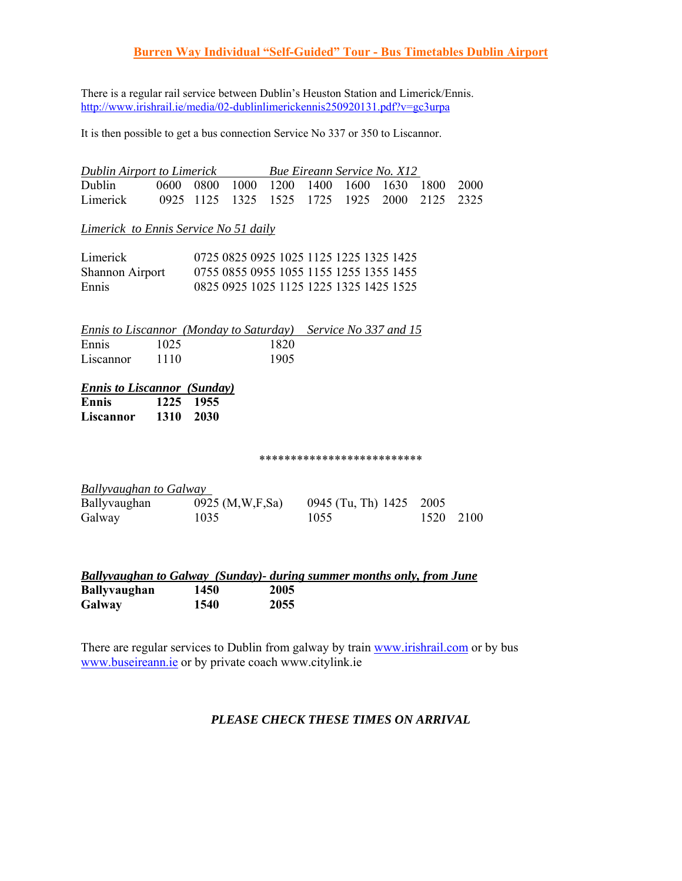## **Burren Way Individual "Self-Guided" Tour - Bus Timetables Dublin Airport**

There is a regular rail service between Dublin's Heuston Station and Limerick/Ennis. http://www.irishrail.ie/media/02-dublinlimerickennis250920131.pdf?v=gc3urpa

It is then possible to get a bus connection Service No 337 or 350 to Liscannor.

| <b>Dublin Airport to Limerick</b> |                                              |  |                                              |  | <b>Bue Eireann Service No. X12</b> |  |
|-----------------------------------|----------------------------------------------|--|----------------------------------------------|--|------------------------------------|--|
| Dublin                            | 0600 0800 1000 1200 1400 1600 1630 1800 2000 |  |                                              |  |                                    |  |
| Limerick                          |                                              |  | 0925 1125 1325 1525 1725 1925 2000 2125 2325 |  |                                    |  |

*Limerick to Ennis Service No 51 daily*

| Limerick               | 0725 0825 0925 1025 1125 1225 1325 1425 |
|------------------------|-----------------------------------------|
| <b>Shannon Airport</b> | 0755 0855 0955 1055 1155 1255 1355 1455 |
| Ennis                  | 0825 0925 1025 1125 1225 1325 1425 1525 |

|           |      |      | Ennis to Liscannor (Monday to Saturday) Service No 337 and 15 |
|-----------|------|------|---------------------------------------------------------------|
| Ennis     | 1025 | 1820 |                                                               |
| Liscannor | 1110 | 1905 |                                                               |

# *Ennis to Liscannor (Sunday)*

**Ennis 1225 1955 Liscannor 1310 2030** 

#### \*\*\*\*\*\*\*\*\*\*\*\*\*\*\*\*\*\*\*\*\*\*\*\*\*\*

| <b>Ballyvaughan to Galway</b> |                      |                         |           |
|-------------------------------|----------------------|-------------------------|-----------|
| Ballyvaughan                  | 0925 $(M, W, F, Sa)$ | 0945 (Tu, Th) 1425 2005 |           |
| Galway                        | 1035                 | 1055                    | 1520 2100 |

|                     |      |      | Ballyvaughan to Galway (Sunday) during summer months only, from June |  |
|---------------------|------|------|----------------------------------------------------------------------|--|
| <b>Ballyvaughan</b> | 1450 | 2005 |                                                                      |  |
| Galway              | 1540 | 2055 |                                                                      |  |

There are regular services to Dublin from galway by train www.irishrail.com or by bus www.buseireann.ie or by private coach www.citylink.ie

#### *PLEASE CHECK THESE TIMES ON ARRIVAL*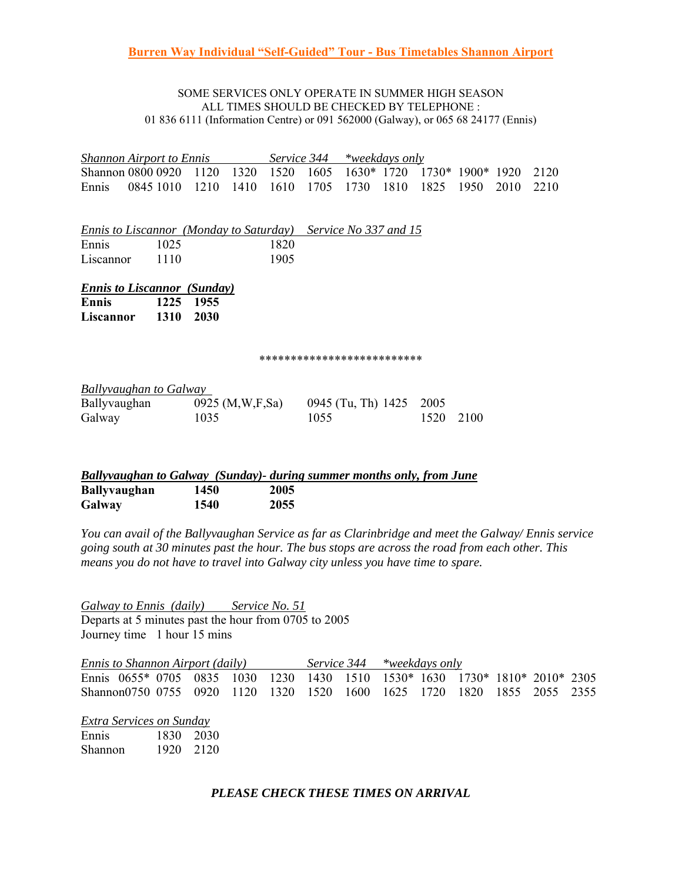#### SOME SERVICES ONLY OPERATE IN SUMMER HIGH SEASON ALL TIMES SHOULD BE CHECKED BY TELEPHONE : 01 836 6111 (Information Centre) or 091 562000 (Galway), or 065 68 24177 (Ennis)

|              | <b>Shannon Airport to Ennis</b>                               |      |                    | Service 344 |      |                            | *weekdays only |      |                  |      |      |
|--------------|---------------------------------------------------------------|------|--------------------|-------------|------|----------------------------|----------------|------|------------------|------|------|
|              | Shannon 0800 0920                                             | 1120 | 1320               | 1520        | 1605 | 1630* 1720                 |                |      | 1730* 1900* 1920 |      | 2120 |
| Ennis        | 0845 1010                                                     | 1210 | 1410               | 1610        | 1705 | 1730                       | 1810           | 1825 | 1950             | 2010 | 2210 |
|              |                                                               |      |                    |             |      |                            |                |      |                  |      |      |
|              | Ennis to Liscannor (Monday to Saturday) Service No 337 and 15 |      |                    |             |      |                            |                |      |                  |      |      |
| Ennis        | 1025                                                          |      |                    | 1820        |      |                            |                |      |                  |      |      |
| Liscannor    | 1110                                                          |      |                    | 1905        |      |                            |                |      |                  |      |      |
|              |                                                               |      |                    |             |      |                            |                |      |                  |      |      |
|              | <b>Ennis to Liscannor (Sunday)</b>                            |      |                    |             |      |                            |                |      |                  |      |      |
| <b>Ennis</b> | 1225                                                          | 1955 |                    |             |      |                            |                |      |                  |      |      |
| Liscannor    | <b>1310</b>                                                   | 2030 |                    |             |      |                            |                |      |                  |      |      |
|              |                                                               |      |                    |             |      |                            |                |      |                  |      |      |
|              |                                                               |      |                    |             |      | ************************** |                |      |                  |      |      |
|              |                                                               |      |                    |             |      |                            |                |      |                  |      |      |
|              | <b>Ballyvaughan to Galway</b>                                 |      |                    |             |      |                            |                |      |                  |      |      |
| Ballyvaughan |                                                               |      | 0925 (M, W, F, Sa) |             |      | 0945 (Tu, Th) 1425         |                | 2005 |                  |      |      |
| Galway       |                                                               | 1035 |                    |             | 1055 |                            |                | 1520 | 2100             |      |      |
|              |                                                               |      |                    |             |      |                            |                |      |                  |      |      |
|              |                                                               |      |                    |             |      |                            |                |      |                  |      |      |

|                     |      |      | Ballyvaughan to Galway (Sunday) during summer months only, from June |  |
|---------------------|------|------|----------------------------------------------------------------------|--|
| <b>Ballyvaughan</b> | 1450 | 2005 |                                                                      |  |
| Galway              | 1540 | 2055 |                                                                      |  |

*You can avail of the Ballyvaughan Service as far as Clarinbridge and meet the Galway/ Ennis service going south at 30 minutes past the hour. The bus stops are across the road from each other. This means you do not have to travel into Galway city unless you have time to spare.* 

*Galway to Ennis (daily) Service No. 51* Departs at 5 minutes past the hour from 0705 to 2005 Journey time 1 hour 15 mins

| <i>Ennis to Shannon Airport (daily)</i>                                     |  |  |  | Service 344 *weekdays only |  |  |  |
|-----------------------------------------------------------------------------|--|--|--|----------------------------|--|--|--|
| Ennis 0655* 0705 0835 1030 1230 1430 1510 1530* 1630 1730* 1810* 2010* 2305 |  |  |  |                            |  |  |  |
| Shannon0750 0755 0920 1120 1320 1520 1600 1625 1720 1820 1855 2055 2355     |  |  |  |                            |  |  |  |

| <b>Extra Services on Sunday</b> |  |  |
|---------------------------------|--|--|
|                                 |  |  |

| Ennis   | 1830 | 2030 |
|---------|------|------|
| Shannon | 1920 | 2120 |

### *PLEASE CHECK THESE TIMES ON ARRIVAL*